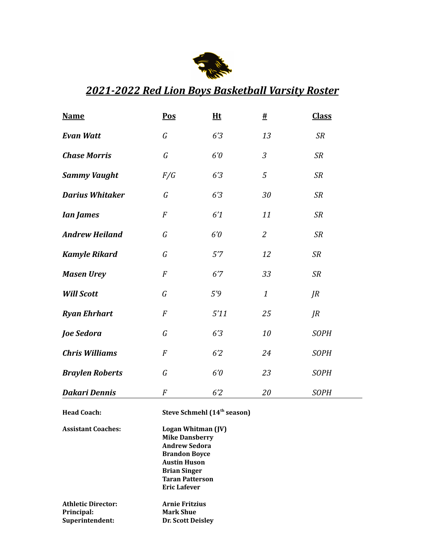

## *2021-2022 Red Lion Boys Basketball Varsity Roster*

| <b>Name</b>            | Pos                                     | Ht   | $\underline{\#}$ | <b>Class</b>  |
|------------------------|-----------------------------------------|------|------------------|---------------|
| <b>Evan Watt</b>       | $\mathcal G$                            | 6'3  | 13               | SR            |
| <b>Chase Morris</b>    | $\mathcal G$                            | 6'0  | 3                | <b>SR</b>     |
| <b>Sammy Vaught</b>    | F/G                                     | 6'3  | $\sqrt{5}$       | <b>SR</b>     |
| <b>Darius Whitaker</b> | G                                       | 6'3  | 30               | <b>SR</b>     |
| <b>Ian James</b>       | $\cal F$                                | 6'1  | 11               | <b>SR</b>     |
| <b>Andrew Heiland</b>  | $\mathcal G$                            | 6'0  | $\mathfrak{2}$   | <b>SR</b>     |
| <b>Kamyle Rikard</b>   | $\mathcal G$                            | 5'7  | 12               | <b>SR</b>     |
| <b>Masen Urey</b>      | $\cal F$                                | 6'7  | 33               | SR            |
| <b>Will Scott</b>      | $\mathcal G$                            | 5'9  | $\mathbf{1}$     | $J\mathbb{R}$ |
| <b>Ryan Ehrhart</b>    | $\cal F$                                | 5'11 | 25               | $J\!R$        |
| Joe Sedora             | $\mathcal G$                            | 6'3  | 10               | <b>SOPH</b>   |
| <b>Chris Williams</b>  | $\cal F$                                | 62   | 24               | <b>SOPH</b>   |
| <b>Braylen Roberts</b> | G                                       | 6'0  | 23               | <b>SOPH</b>   |
| <b>Dakari Dennis</b>   | $\overline{F}$                          | 62   | 20               | <b>SOPH</b>   |
| <b>Head Coach:</b>     | Steve Schmehl (14 <sup>th</sup> season) |      |                  |               |

**Assistant Coaches: Logan Whitman (JV) Mike Dansberry Andrew Sedora Brandon Boyce Austin Huson Brian Singer Taran Patterson Eric Lafever**

| Athletic Director: | <b>Arnie Fritzius</b>    |
|--------------------|--------------------------|
| Principal:         | <b>Mark Shue</b>         |
| Superintendent:    | <b>Dr. Scott Deisley</b> |